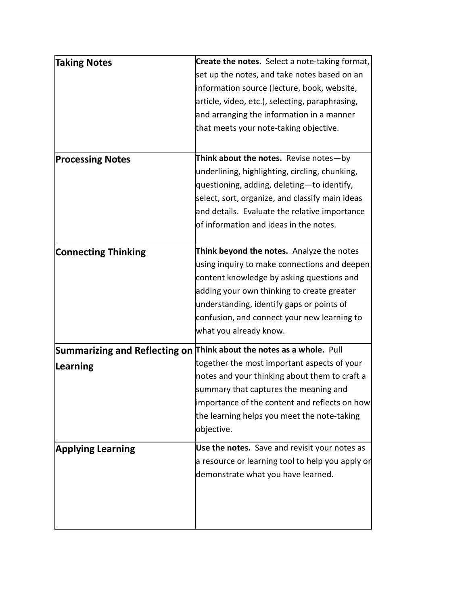| <b>Taking Notes</b>        | Create the notes. Select a note-taking format,                       |
|----------------------------|----------------------------------------------------------------------|
|                            | set up the notes, and take notes based on an                         |
|                            | information source (lecture, book, website,                          |
|                            | article, video, etc.), selecting, paraphrasing,                      |
|                            | and arranging the information in a manner                            |
|                            | that meets your note-taking objective.                               |
|                            |                                                                      |
| <b>Processing Notes</b>    | Think about the notes. Revise notes-by                               |
|                            | underlining, highlighting, circling, chunking,                       |
|                            | questioning, adding, deleting-to identify,                           |
|                            | select, sort, organize, and classify main ideas                      |
|                            | and details. Evaluate the relative importance                        |
|                            | of information and ideas in the notes.                               |
|                            |                                                                      |
| <b>Connecting Thinking</b> | <b>Think beyond the notes.</b> Analyze the notes                     |
|                            | using inquiry to make connections and deepen                         |
|                            | content knowledge by asking questions and                            |
|                            | adding your own thinking to create greater                           |
|                            | understanding, identify gaps or points of                            |
|                            | confusion, and connect your new learning to                          |
|                            | what you already know.                                               |
|                            | Summarizing and Reflecting on Think about the notes as a whole. Pull |
| Learning                   | together the most important aspects of your                          |
|                            | notes and your thinking about them to craft a                        |
|                            | summary that captures the meaning and                                |
|                            | importance of the content and reflects on how                        |
|                            | the learning helps you meet the note-taking                          |
|                            | objective.                                                           |
| <b>Applying Learning</b>   | Use the notes. Save and revisit your notes as                        |
|                            | a resource or learning tool to help you apply or                     |
|                            | demonstrate what you have learned.                                   |
|                            |                                                                      |
|                            |                                                                      |
|                            |                                                                      |
|                            |                                                                      |